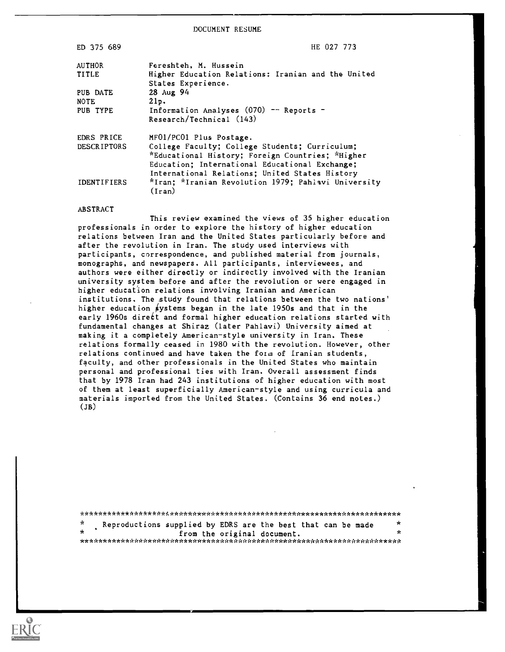DOCUMENT RESUME

| ED 375 689                          | HE 027 773                                                                                                                                                                                                                        |
|-------------------------------------|-----------------------------------------------------------------------------------------------------------------------------------------------------------------------------------------------------------------------------------|
| AUTHOR<br>TITLE                     | Fereshteh, M. Hussein<br>Higher Education Relations: Iranian and the United<br>States Experience.                                                                                                                                 |
| PUB DATE<br><b>NOTE</b><br>PUB TYPE | 28 Aug 94<br>21p.<br>Information Analyses (070) -- Reports -<br>Research/Technical (143)                                                                                                                                          |
| EDRS PRICE<br>DESCRIPTORS           | MF01/PC01 Plus Postage.<br>College Faculty; College Students; Curriculum;<br>*Educational History; Foreign Countries; *Higher<br>Education: International Educational Exchange:<br>International Relations; United States History |
| <b>IDENTIFIERS</b>                  | *Iran: *Iranian Revolution 1979; Pahlavi University<br>$($ Iran $)$                                                                                                                                                               |

#### ABSTRACT

This review examined the views of 35 higher education professionals in order to explore the history of higher education relations between Iran and the United States particularly before and after the revolution in Iran. The study used interviews with participants, correspondence, and published material from journals, monographs, and newspapers. All participants, interviewees, and authors were either directly or indirectly involved with the Iranian university system before and after the revolution or were engaged in higher education relations involving Iranian and American institutions. The study found that relations between the two nations' higher education systems began in the late 1950s and that in the early 1960s direct and formal higher education relations started with fundamental changes at Shiraz (later Pahlavi) University aimed at making it a completely American-style university in Iran. These relations formally ceased in 1980 with the revolution. However, other relations continued and have taken the form of Iranian students, faculty, and other professionals in the United States who maintain personal and professional ties with Iran. Overall assessment finds that by 1978 Iran had 243 institutions of higher education with most of them at least superficially American-style and using curricula and materials imported from the United States. (Contains 36 end notes.)  $(JB)$ 

| $\mathcal{N}$ | Reproductions supplied by EDRS are the best that can be made | * |  |
|---------------|--------------------------------------------------------------|---|--|
|               | from the original document.                                  | ÷ |  |
|               |                                                              |   |  |

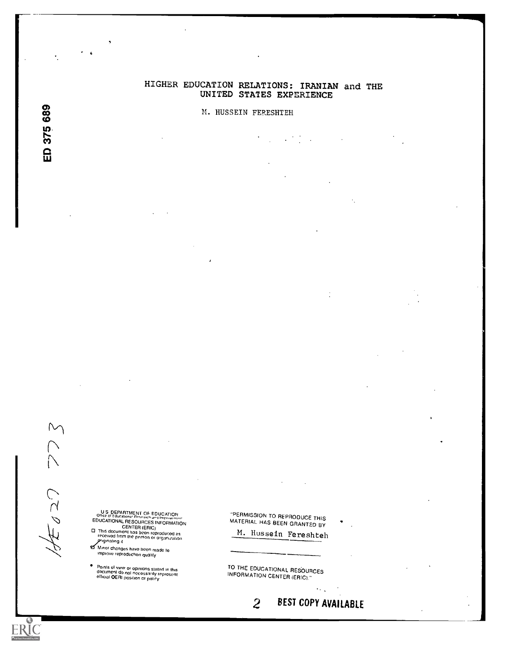# HIGHER EDUCATION RELATIONS: IRANIAN and THE UNITED STATES EXPERIENCE

÷.

 $\ddot{\phantom{a}}$ 

## M. HUSSEIN FERESHTEH

co CD  $\frac{375}{27}$ ui de construction de la propie de la propie de la propie de la propie de la propie de la propie de la propie

 $\bigwedge$  $\tilde{C}$ 

 $\sim$ 

US OF PERSOURT OF EDUCATION<br>Office of Educational Research and Improvement<br>EDUCATIONAL RESOURCES INFORMATION CENTER (ERIC)<br>This decurrent has been reproduced as received from the person or organization<br>priginating it

e Minor changes have been made to<br>improve reproduction quality

Ponds of vie\* or opinions stated m this document do nod nocessattly represent edictal OEM postlion or poky

'PERMISSION TO REPRODUCE THIS MATERIAL HAS BEEN GRANTED BY

M. Hussein Fereshteh

TO THE EDUCATIONAL RESOURCES<br>INFORMATION CENTER (ERIC).''

2 BEST COPY AVAILABLE

 $\sim$  .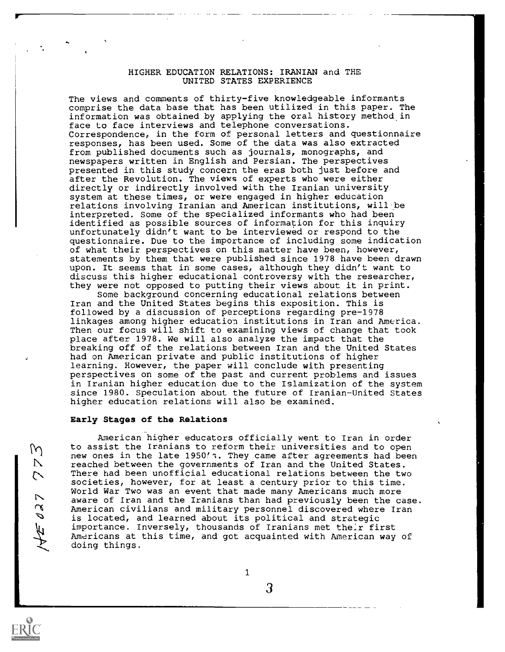## HIGHER EDUCATION RELATIONS: IRANIAN and THE UNITED STATES EXPERIENCE

The views and comments of thirty-five knowledgeable informants comprise the data base that has been utilized in this paper. The information was obtained by applying the oral history method in face to face interviews and telephone conversations. Correspondence, in the form of personal letters and questionnaire responses, has been used. Some of the data was also extracted from published documents such as journals, monographs, and newspapers written in English and Persian. The perspectives presented in this study concern the eras both just before and after the Revolution. The views of experts who were either directly or indirectly involved with the Iranian university system at these times, or were engaged in higher education relations involving Iranian and American institutions, will be interpreted. Some of the specialized informants who had been identified as possible sources of information for this inquiry unfortunately didn't want to be interviewed or respond to the questionnaire. Due to the importance of including some indication of what their perspectives on this matter have been, however, statements by them that were published since 1978 have been drawn upon. It seems that in some cases, although they didn't want to discuss this higher educational controversy with the researcher, they were not opposed to putting their views about it in print.

Some background concerning educational relations between Iran and the United States begins this exposition. This is followed by a discussion of perceptions regarding pre-1978 linkages among higher education institutions in Iran and America. Then our focus will shift to examining views of change that took place after 1978. We will also analyze the impact that the breaking off of the relations between Iran and the United States had on American private and public institutions of higher learning. However, the paper will conclude with presenting perspectives on some of the past and current problems and issues in Iranian higher education due to the Islamization of the system since 1980. Speculation about the future of Iranian-United States higher education relations will also be examined.

#### Early Stages of the Relations

American higher educators officially went to Iran in order  $\{\gamma\}$  to assist the Iranians to reform their universities and to open new ones in the late 1950's. They came after agreements had been reached between the governments of Iran and the United States. There had been unofficial educational relations between the two societies, however, for at least a century prior to this time. World War Two was an event that made many Americans much more aware of Iran and the Iranians than had previously been the case. American civilians and military personnel discovered where Iran is located, and learned about its political and strategic importance. Inversely, thousands of Iranians met their first Americans at this time, and got acquainted with American way of doing things.

 $\mathcal{N}_{\mathcal{N}}$ 

<u>ranski politik (d. 1878)</u>

11,

 $\mathbf{1}$ 

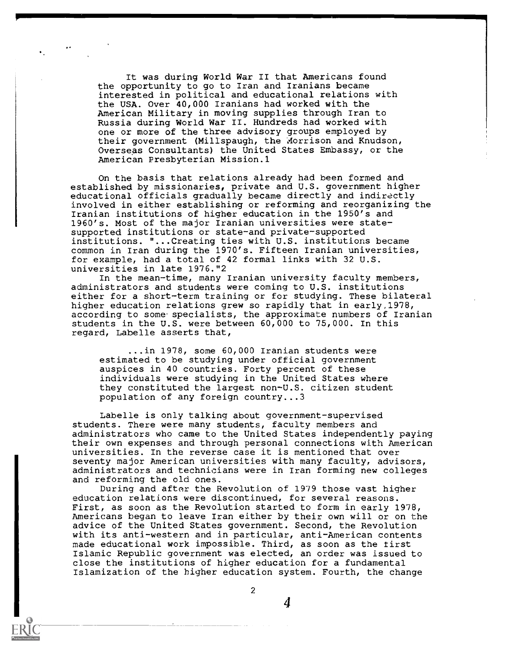It was during World War II that Americans found the opportunity to go to Iran and Iranians became interested in political and educational relations with the USA. Over 40,000 Iranians had worked with the American Military in moving supplies through Iran to Russia during World War II. Hundreds had worked with one or more of the three advisory groups employed by their government (MilIspaugh, the Aorrison and Knudson, Overseas Consultants) the United States Embassy, or the American Presbyterian Mission.1

On the basis that relations already had been formed and established by missionaries, private and U.S. government higher educational officials gradually became directly and indirectly involved in either establishing or reforming and reorganizing the Iranian institutions of higher education in the 1950's and 1960's. Most of the major Iranian universities were statesupported institutions or state-and private-supported institutions. "...Creating ties with U.S. institutions became common in Iran during the 1970's. Fifteen Iranian universities, for example, had a total of 42 formal links with 32 U.S. universities in late 1976."2

In the mean-time, many Iranian university faculty members, administrators and students were coming to U.S. institutions either for a short-term training or for studying. These bilateral higher education relations grew so rapidly that in early,1978, according to some. specialists, the approximate numbers of Iranian students in the U.S. were between 60,000 to 75,000. In this regard, Labelle asserts that,

...in 1978, some 60,000 Iranian students were estimated to be studying under official government auspices in 40 countries. Forty percent of these individuals were studying in the United States where they constituted the largest non-U.S. citizen student population of any foreign country...3

Labelle is only talking about government-supervised students. There were many students, faculty members and administrators who came to the United States independently paying their own expenses and through personal connections with American universities. In the reverse case it is mentioned that over seventy major American universities with many faculty, advisors, administrators and technicians were in Iran forming new colleges and reforming the old ones.

During and after the Revolution of 1979 those vast higher education relations were discontinued, for several reasons. First, as soon as the Revolution started to form in early 1978, Americans began to leave Iran either by their own will or on the advice of the United States government. Second, the Revolution with its anti-western and in particular, anti-American contents made educational work impossible. Third, as soon as the first Islamic Republic government was elected, an order was issued to close the institutions of higher education for a fundamental Islamization of the higher education system. Fourth, the change

2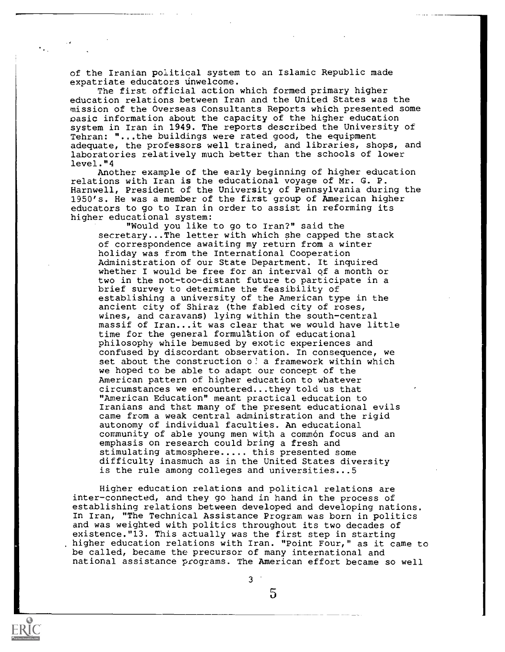of the Iranian political system to an Islamic Republic made expatriate educators unwelcome.

The first official action which formed primary higher education relations between Iran and the United States was the mission of the Overseas Consultants Reports which presented some basic information about the capacity of the higher education system in Iran in 1949. The reports described the University of Tehran: "...the buildings were rated good, the equipment adequate, the professors well trained, and libraries, shops, and laboratories relatively much better than the schools of lower level."4

Another example of the early beginning of higher education relations with Iran is the educational voyage of Mr. G. P. Harnwell, President of the University of Pennsylvania during the 1950's. He was a member of the first group of American higher educators to go to Iran in order to assist in reforming its higher educational system:

"Would you like to go to Iran?" said the secretary...The letter with which she capped the stack of correspondence awaiting my return from a winter holiday was from the International Cooperation Administration of our State Department. It inquired whether I would be free for an interval of a month or two in the not-too-distant future to participate in a brief survey to determine the feasibility of establishing a university of the American type in the ancient city of Shiraz (the fabled city of roses, wines, and caravans) lying within the south-central massif of Iran...it was clear that we would have little time for the general formulation of educational philosophy while bemused by exotic experiences and confused by discordant observation. In consequence, we set about the construction o? a framework within which we hoped to be able to adapt our concept of the American pattern of higher education to whatever circumstances we encountered...they told us that "American Education" meant practical education to Iranians and that many of the present educational evils came from a weak central administration and the rigid autonomy of individual faculties. An educational community of able young men with a common focus and an emphasis on research could bring a fresh and stimulating atmosphere..... this presented some difficulty inasmuch as in the United States diversity is the rule among colleges and universities...5

Higher education relations and political relations are inter-connected, and they go hand in hand in the process of establishing relations between developed and developing nations. In Iran, "The Technical Assistance Program was born in politics and was weighted with politics throughout its two decades of existence."13. This actually was the first step in starting higher education relations with Iran. "Point Four," as it came to be called, became the precursor of many international and national assistance programs. The American effort became so well

3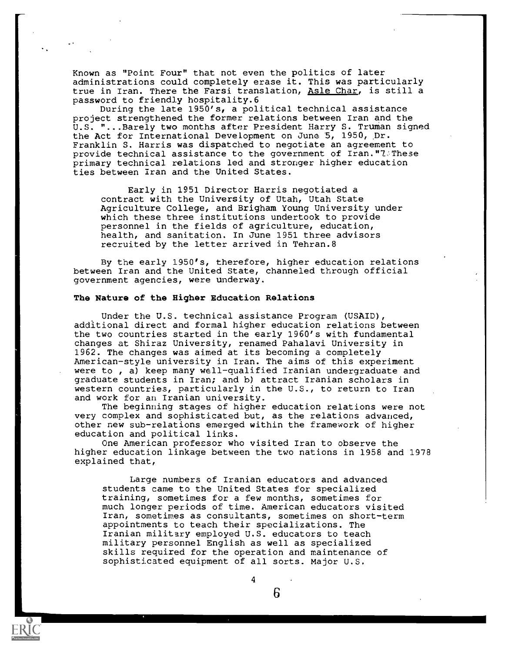Known as "Point Four" that not even the politics of later administrations could completely erase it. This was particularly true in Iran. There the Farsi translation, Asle Char, is still a password to friendly hospitality.6

During the late 1950's, a political technical assistance project strengthened the former relations between Iran and the U.S. "...Barely two months after President Harry S. Truman signed the Act for International Development on June 5, 1950,  $Dr.$ Franklin S. Harris was dispatched to negotiate an agreement to provide technical assistance to the government of Iran."7:These primary technical relations led and stronger higher education ties between Iran and the United States.

Early in 1951 Director Harris negotiated a contract with the University of Utah, Utah State Agriculture College, and Brigham Young University under which these three institutions undertook to provide personnel in the fields of agriculture, education, health, and sanitation. In June 1951 three advisors recruited by the letter arrived in Tehran.8

By the early 1950's, therefore, higher education relations between Iran and the United State, channeled through official government agencies, were underway.

### The Nature of the Higher Education Relations

Under the U.S. technical assistance Program (USAID), additional direct and formal higher education relations between the two countries started in the early 1960's with fundamental changes at Shiraz University, renamed Pahalavi University in 1962. The changes was aimed at its becoming a completely American-style university in Iran. The aims of this experiment were to , a) keep many well-qualified Iranian undergraduate and graduate students in Iran; and b) attract Iranian scholars in western countries, particularly in the U.S., to return to Iran and work for an Iranian university.

The beginning stages of higher education relations were not very complex and sophisticated but, as the relations advanced, other new sub-relations emerged within the framework of higher education and political links.

One American professor who visited Iran to observe the higher education linkage between the two nations in 1958 and 1978 explained that,

Large numbers of Iranian educators and advanced students came to the United States for specialized training, sometimes for a few months, sometimes for much longer periods of time. American educators visited Iran, sometimes as consultants, sometimes on short-term appointments to teach their specializations. The Iranian military employed U.S. educators to teach military personnel English as well as specialized skills required for the operation and maintenance of sophisticated equipment of all sorts. Major U.S.



6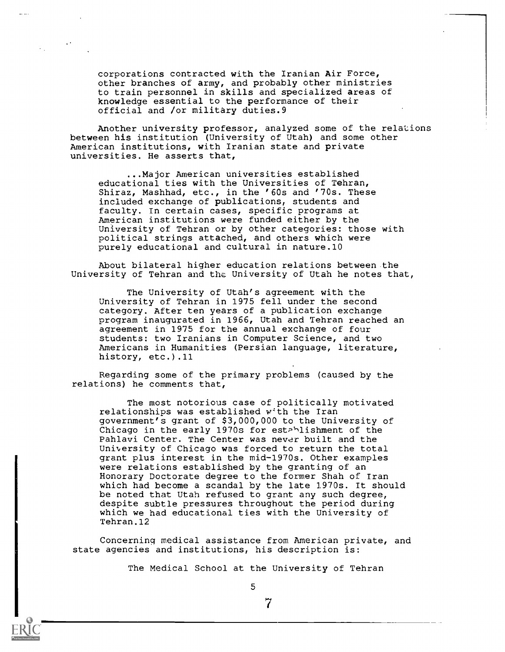corporations contracted with the Iranian Air Force, other branches of army, and probably other ministries to train personnel in skills and specialized areas of knowledge essential to the performance of their official and /or military duties.9

Another university professor, analyzed some of the relations between his institution (University of Utah) and some other American institutions, with Iranian state and private universities. He asserts that,

...Major American universities established educational ties with the Universities of Tehran, Shiraz, Mashhad, etc., in the '60s and '70s. These included exchange of publications, students and faculty. In certain cases, specific programs at American institutions were funded either by the University of Tehran or by other categories: those with political strings attached, and others which were purely educational and cultural in nature.10

About bilateral higher education relations between the University of Tehran and the University of Utah he notes that,

The University of Utah's agreement with the University of Tehran in 1975 fell under the second category. After ten years of a publication exchange program inaugurated in 1966, Utah and Tehran reached an agreement in 1975 for the annual exchange of four students: two Iranians in Computer Science, and two Americans in Humanities (Persian language, literature, history, etc.).11

Regarding some of the primary problems (caused by the relations) he comments that,

The most notorious case of politically motivated relationships was established with the Iran government's grant of \$3,000,000 to the University of Chicago in the early 1970s for est<sup>>1</sup>lishment of the Pahlavi Center. The Center was never built and the University of Chicago was forced to return the total grant plus interest in the mid-1970s. Other examples were relations established by the granting of an Honorary Doctorate degree to the former Shah of Iran which had become a scandal by the late 1970s. It should be noted that Utah refused to grant any such degree, despite subtle pressures throughout the period during which we had educational ties with the University of Tehran.12

Concerning medical assistance from American private, and state agencies and institutions, his description is:

The Medical School at the University of Tehran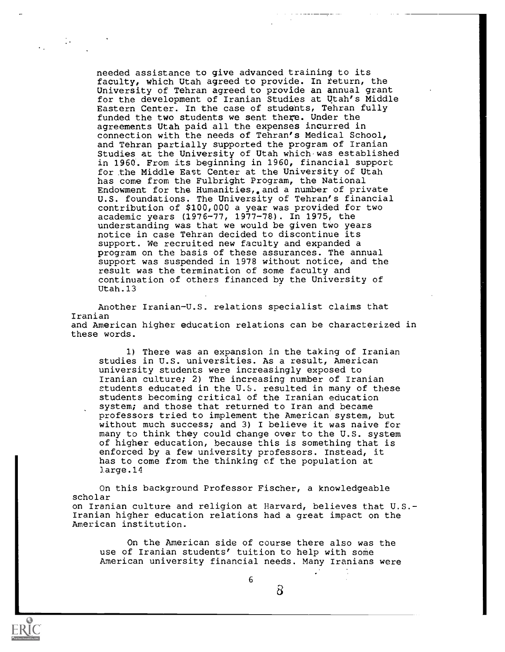needed assistance to give advanced training to its faculty, which Utah agreed to provide. In return, the University of Tehran agreed to provide an annual grant for the development of Iranian Studies at Utah's Middle Eastern Center. In the case of students, Tehran fully funded the two students we sent there. Under the agreements Utah paid all the expenses incurred in connection with the needs of Tehran's Medical School, and Tehran partially supported the program of Iranian Studies at the University of Utah which was established in 1960. From its beginning in 1960, financial support for the Middle East Center at the University of Utah has come from the Fulbright Program, the National Endowment for the Humanities, and a number of private U.S. foundations. The University of Tehran's financial contribution of \$100,000 a year was provided for two academic years (1976-77, 1977-78). In 1975, the understanding was that we would be given two years notice in case Tehran decided to discontinue its support. We recruited new faculty and expanded a program on the basis of these assurances. The annual support was suspended in 1978 without notice, and the result was the termination of some faculty and continuation of others financed by the University of Utah.13

Another Iranian-U.S. relations specialist claims that Iranian and American higher education relations can be characterized in these words.

1) There was an expansion in the taking of Iranian studies in U.S. universities. As a result, American university students were increasingly exposed to Iranian culture; 2) The increasing number of Iranian students educated in the U.S. resulted in many of these students becoming critical of the Iranian education system; and those that returned to Iran and became professors tried to implement the American system, but without much success; and 3) I believe it was naive for many to think they could change over to the U.S. system of higher education, because this is something that is enforced by a few university professors. Instead, it has to come from the thinking of the population at ]arge.14

On this background Professor Fischer, a knowledgeable scholar on Iranian culture and religion at Harvard, believes that U.S. Iranian higher education relations had a great impact on the American institution.

On the American side of course there also was the use of Iranian students' tuition to help with some American university financial needs. Many Iranians were

6



 $\sim$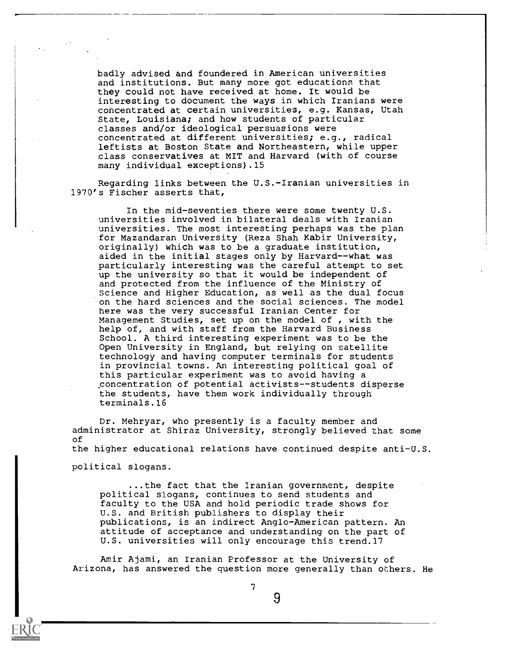badly advised and foundered in American universities and institutions. But many more got educations that they could not have received at home. It would be interesting to document the ways in which Iranians were concentrated at certain universities, e.g. Kansas, Utah State, Louisiana; and how students of particular classes and/or ideological persuasions were concentrated at different universities; e.g., radical leftists at Boston State and Northeastern, while upper class conservatives at MIT and Harvard (with of course many individual exceptions).15

Regarding links between the U.S.-Iranian universities in 1970's Fischer asserts that,

In the mid-seventies there were some twenty U.S. universities involved in bilateral deals with Iranian universities. The most interesting perhaps was the plan for Mazandaran University (Reza Shah Kabir University, originally) which was to be a graduate institution, aided in the initial stages only by Harvard--what was particularly interesting was the careful attempt to set up the university so that it would be independent of and protected from the influence of the Ministry of Science and Higher Education, as well as the dual focus on the hard sciences and the social sciences. The model here was the very successful Iranian Center for Management Studies, set up on the model of , with the help of, and with staff from the Harvard Business School. A third interesting experiment was to be the Open University in England, but relying on satellite technology and having computer terminals for students in provincial towns. An interesting political goal of this particular experiment was to avoid having a concentration of potential activists--students disperse the students, have them work individually through terminals.16

Dr. Mehryar, who presently is a faculty member and administrator at Shiraz University, strongly believed that some of the higher educational relations have continued despite anti-U.S. political slogans.

...the fact that the Iranian government, despite political slogans, continues to send students and faculty to the USA and hold periodic trade shows for U.S. and British publishers to display their publications, is an indirect Anglo-American pattern. An attitude of acceptance and understanding on the part of U.S. universities will only encourage this trend.17

Amir Ajami, an Iranian Professor at the University of Arizona, has answered the question more generally than others. He



7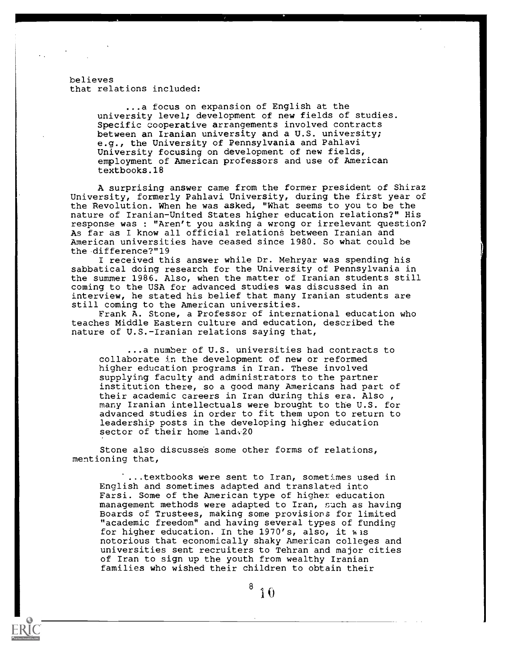believes that relations included:

> ...a focus on expansion of English at the university level; development of new fields of studies. Specific cooperative arrangements involved contracts between an Iranian university and a U.S. university; e.g., the University of Pennsylvania and Pahlavi University focusing on development of new fields, employment of American professors and use of American textbooks.18

A surprising answer came from the former president of Shiraz University, formerly Pahlavi University, during the first year of the Revolution. When he was asked, "What seems to you to be the nature of Iranian-United States higher education relations?" His response was : "Aren't you asking a wrong or irrelevant question? As far as I know all official relations between Iranian and American universities have ceased since 1980. So what could be the difference?"19

I received this answer while Dr. Mehryar was spending his sabbatical doing research for the University of Pennsylvania in the summer 1986. Also, when the matter of Iranian students still coming to the USA for advanced studies was discussed in an interview, he stated his belief that many Iranian students are still coming to the American universities.

Frank A. Stone, a Professor of international education who teaches Middle Eastern culture and education, described the nature of U.S.-Iranian relations saying that,

...a number of U.S. universities had contracts to collaborate in the development of new or reformed higher education programs in Iran. These involved supplying faculty and administrators to the partner institution there, so a good many Americans had part of their academic careers in Iran during this era. Also , many Iranian intellectuals were brought to the U.S. for advanced studies in order to fit them upon to return to leadership posts in the developing higher education sector of their home land.20

Stone also discusse's some other forms of relations, mentioning that,

...textbooks were sent to Iran, sometimes used in English and sometimes adapted and translated into Farsi. Some of the American type of higher education management methods were adapted to Iran, such as having Boards of Trustees, making some provisions for limited "academic freedom" and having several types of funding for higher education. In the 1970's, also, it was notorious that economically shaky American colleges and universities sent recruiters to Tehran and major cities of Iran to sign up the youth from wealthy Iranian families who wished their children to obtain their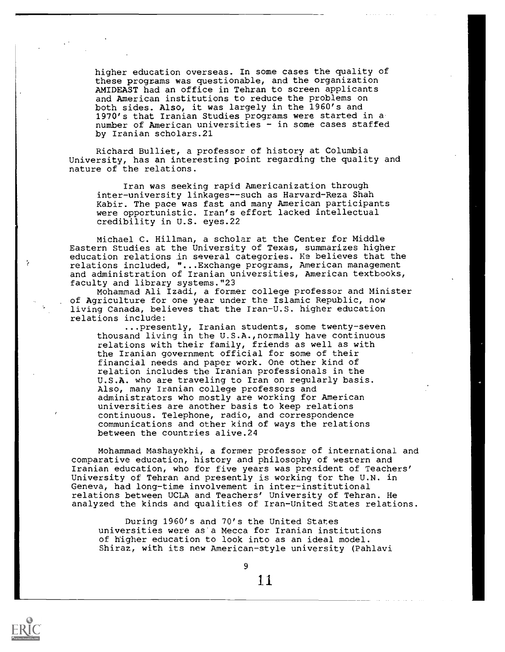higher education overseas. In some cases the quality of these programs was questionable, and the organization AMIDEAST had an office in Tehran to screen applicants and American institutions to reduce the problems on both sides. Also, it was largely in the 1960's and 1970's that Iranian Studies programs were started in a. number of American universities - in some cases staffed by Iranian scholars.21

Richard Bulliet, a professor of history at Columbia University, has an interesting point regarding the quality and nature of the relations.

Iran was seeking rapid Americanization through inter-university linkages--such as Harvard-Reza Shah Kabir. The pace was fast and many American participants were opportunistic. Iran's effort lacked intellectual credibility in U.S. eyes.22

Michael C. Hillman, a scholar at the Center for Middle Eastern Studies at the University of Texas, summarizes higher education relations in several categories. Ke believes that the relations included, "...Exchange programs, American management and administration of Iranian universities, American textbooks, faculty and library systems."23

Mohammad Ali Izadi, a former college professor and Minister of Agriculture for one year under the Islamic Republic, now living Canada, believes that the Iran-U.S. higher education relations include:

...presently, Iranian students, some twenty-seven thousand living in the U.S.A.,normally have continuous relations with their family, friends as well as with the Iranian government official for some of their financial needs and paper work. One other kind of relation includes the Iranian professionals in the U.S.A. who are traveling to Iran on regularly basis. Also, many Iranian college professors and administrators who mostly are working for American universities are another basis to keep relations continuous. Telephone, radio, and correspondence communications and other kind of ways the relations between the countries alive.24

Mohammad Mashayekhi, a former professor of international and comparative education, history and philosophy of western and Iranian education, who for five years was president of Teachers' University of Tehran and presently is working for the U.N. in Geneva, had long-time involvement in inter-institutional relations between UCLA and Teachers' University of Tehran. He analyzed the kinds and qualities of Iran-United States relations.

During 1960's and 70's the United States universities were as'a Mecca for Iranian institutions of higher education to look into as an ideal model. Shiraz, with its new American-style university (Pahlavi

9

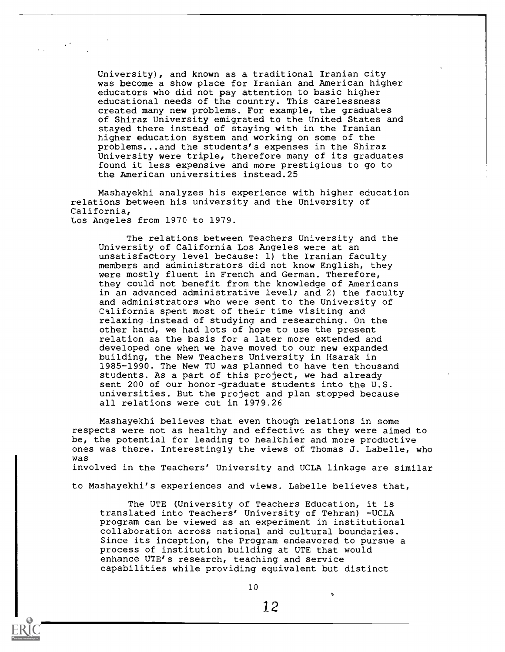University), and known as a traditional Iranian city was become a show place for Iranian and American higher educators who did not pay attention to basic higher educational needs of the country. This carelessness created many new problems. For example, the graduates of Shiraz University emigrated to the United States and stayed there instead of staying with in the Iranian higher education system and working on some of the problems...and the students's expenses in the Shiraz University were triple, therefore many of its graduates found it less expensive and more prestigious to go to the American universities instead.25

 $\mathcal{L}^{\text{max}}$ 

Mashayekhi analyzes his experience with higher education relations between his university and the University of California, Los Angeles from 1970 to 1979.

The relations between Teachers University and the University of California Los Angeles were at an unsatisfactory level because: 1) the Iranian faculty members and administrators did not know English, they were mostly fluent in French and German. Therefore, they could not benefit from the knowledge of Americans in an advanced administrative level; and 2) the faculty and administrators who were sent to the University of California spent most of their time visiting and relaxing instead of studying and researching. On the other hand, we had lots of hope to use the present relation as the basis for a later more extended and developed one when we have moved to our new expanded building, the New Teachers University in Hsarak in 1985-1990. The New TU was planned to have ten thousand students. As a part of this project, we had already sent 200 of our honor-graduate students into the U.S. universities. But the project and plan stopped because all relations were cut in 1979.26

Mashayekhi believes that even though relations in some respects were not as healthy and effective as they were aimed to be, the potential for leading to healthier and more productive ones was there. Interestingly the views of Thomas J. Labelle, who was involved in the Teachers' University and UCLA linkage are similar

to Mashayekhi's experiences and views. Labelle believes that,

The UTE (University of Teachers Education, it is translated into Teachers' University of Tehran) -UCLA program can be viewed as an experiment in institutional collaboration across national and cultural boundaries. Since its inception, the Program endeavored to pursue a process of institution building at UTE that would enhance UTE's research, teaching and service capabilities while providing equivalent but distinct

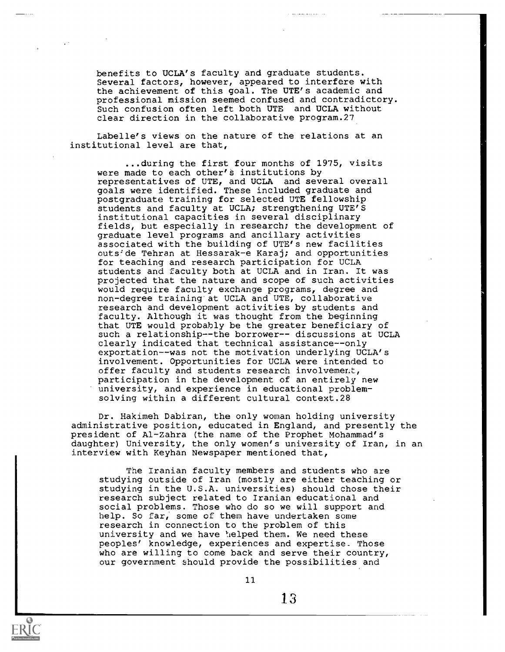benefits to UCLA's faculty and graduate students. Several factors, however, appeared to interfere with the achievement of this goal. The UTE's academic and professional mission seemed confused and contradictory. Such confusion often left both UTE and UCLA without clear direction in the collaborative program.27

Labelle's views on the nature of the relations at an institutional level are that,

...during the first four months of 1975, visits were made to each other's institutions by representatives of UTE, and UCLA and several overall goals were identified. These included graduate and postgraduate training for selected UTE fellowship students and faculty at UCLA; strengthening UTE'S institutional capacities in several disciplinary fields, but especially in research; the development of graduate level programs and ancillary activities associated with the building of UTE's new facilities outside Tehran at Hessarak-e Karaj; and opportunities for teaching and research participation for UCLA students and faculty both at UCLA and in Iran. It was projected that the nature and scope of such activities would require faculty exchange programs, degree and non-degree training at UCLA and UTE, collaborative research and development activities by students and faculty. Although it was thought from the beginning that UTE would probably be the greater beneficiary of such a relationship--the borrower-- discussions at UCLA clearly indicated that technical assistance--only exportation--was not the motivation underlying UCLA's involvement. Opportunities for UCLA were intended to offer faculty and students research involvemer.t, participation in the development of an entirely new university, and experience in educational problemsolving within a different cultural context.28

Dr. Hakimeh Dabiran, the only woman holding university administrative position, educated in England, and presently the president of Al-Zahra (the name of the Prophet Mohammad's daughter) University, the only women's university of Iran, in an interview with Keyhan Newspaper mentioned that,

The Iranian faculty members and students who are studying outside of Iran (mostly are either teaching or studying in the U.S.A. universities) should chose their research subject related to Iranian educational and social problems. Those who do so we will support and help. So far, some of them have undertaken some research in connection to the problem of this university and we have helped them. We need these peoples' knowledge, experiences and expertise. Those who are willing to come back and serve their country, our government should provide the possibilities and



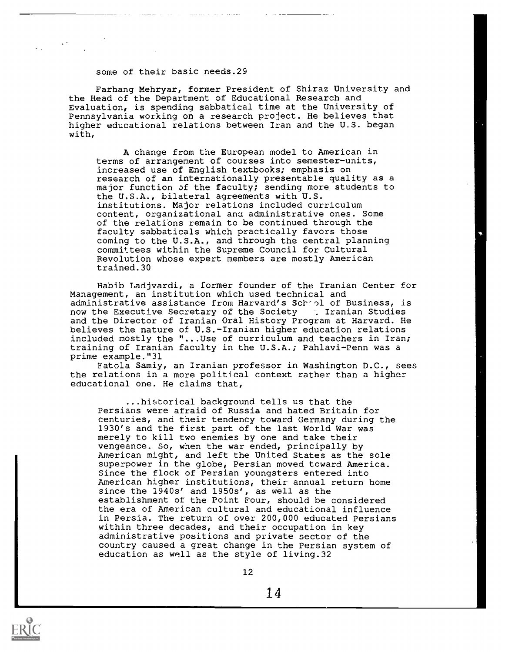#### some of their basic needs.29

**Contract Contract** 

comercial and activities are realized

Farhang Mehryar, former President of Shiraz University and the Head of the Department of Educational Research and Evaluation, is spending sabbatical time at the University of Pennsylvania working on a research project. He believes that higher educational relations between Iran and the U.S. began with,

A change from the European model to American in terms of arrangement of courses into semester-units, increased use of English textbooks; emphasis on research of an internationally presentable quality as a major function of the faculty; sending more students to the U.S.A., bilateral agreements with U.S. institutions. Major relations included curriculum content, organizational anu administrative ones. Some of the relations remain to be continued through the faculty sabbaticals which practically favors those coming to the U.S.A., and through the central planning committees within the Supreme Council for Cultural Revolution whose expert members are mostly American trained.30

Habib Ladjvardi, a former founder of the Iranian Center for Management, an institution which used technical and administrative assistance from Harvard's School of Business, is<br>now the Executive Secretary of the Society [1] Iranian Studies now the Executive Secretary of the Society and the Director of Iranian Oral History Program at Harvard. He believes the nature of U.S.-Iranian higher education relations included mostly the "...Use of curriculum and teachers in Iran; training of Iranian faculty in the U.S.A.; Pahlavi-Penn was a prime example."31

Fatcla Samiy, an Iranian professor in Washington D.C., sees the relations in a more political context rather than a higher educational one. He claims that,

...historical background tells us that the Persians were afraid of Russia and hated Britain for centuries, and their tendency toward Germany during the 1930's and the first part of the last World War was merely to kill two enemies by one and take their vengeance. So, when the war ended, principally by American might, and left the United States as the sole superpower in the globe, Persian moved toward America. Since the flock of Persian youngsters entered into American higher institutions, their annual return home since the 1940s' and 1950s', as well as the establishment of the Point Four, should be considered the era of American cultural and educational influence in Persia. The return of over 200,000 educated Persians within three decades, and their occupation in key administrative positions and private sector of the country caused a great change in the Persian system of education as well as the style of living.32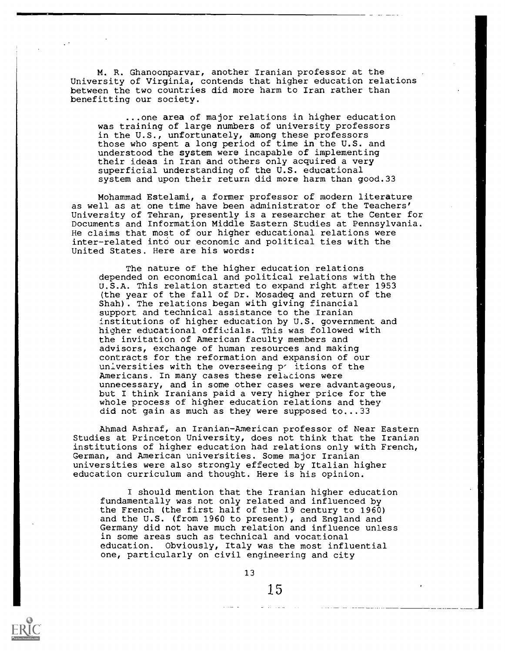M. R. Ghanoonparvar, another Iranian professor at the University of Virginia, contends that higher education relations between the two countries did more harm to Iran rather than benefitting our society.

...one area of major relations in higher education was training of large numbers of university professors in the U.S., unfortunately, among these professors those who spent a long period of time in the U.S. and understood the system were incapable of implementing their ideas in Iran and others only acquired a very superficial understanding of the U.S. educational system and upon their return did more harm than good.33

Mohammad Estelami, a former professor of modern literature as well as at one time have been administrator of the Teachers' University of Tehran, presently is a researcher at the Center for Documents and Information Middle Eastern Studies at Pennsylvania. He claims that most of our higher educational relations were inter-related into our economic and political ties with the United States. Here are his words:

The nature of the higher education relations depended on economical and political relations with the U.S.A. This relation started to expand right after 1953 (the year of the fall of Dr. Mosadeq and return of the Shah). The relations began with giving financial support and technical assistance to the Iranian institutions of higher education by U.S. government and higher educational officials. This was followed with the invitation of American faculty members and advisors, exchange of human resources and making contracts for the reformation and expansion of our universities with the overseeing p' itions of the Americans. In many cases these relacions were unnecessary, and in some other cases were advantageous, but I think Iranians paid a very higher price for the whole process of higher education relations and they did not gain as much as they were supposed to...33

Ahmad Ashraf, an Iranian-American professor of Near Eastern Studies at Princeton University, does not think that the Iranian institutions of higher education had relations only with French, German, and American universities. Some major Iranian universities were also strongly effected by Italian higher education curriculum and thought. Here is his opinion.

I should mention that the Iranian higher education fundamentally was not only related and influenced by the French (the first half of the 19 century to 1960) and the U.S. (from 1960 to present), and England and Germany did not have much relation and influence unless in some areas such as technical and vocational education. Obviously, Italy was the most influential one, particularly on civil engineering and city

13

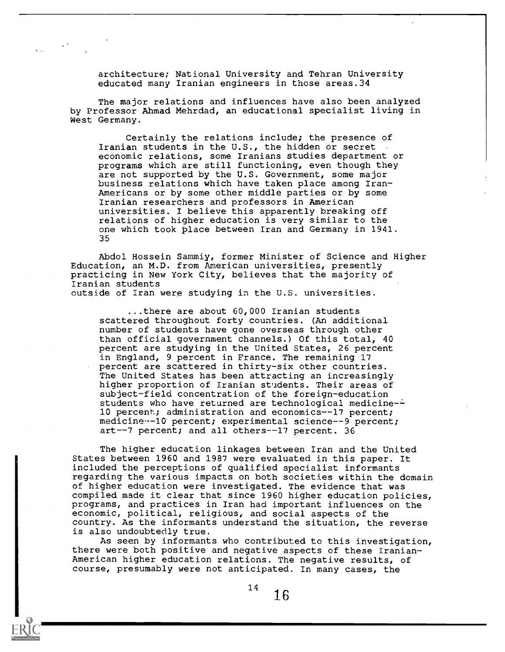architecture; National University and Tehran University educated many Iranian engineers in those areas.34

The major relations and influences have also been analyzed by Professor Ahmad Mehrdad, an educational specialist living in West Germany.

Certainly the relations include; the presence of Iranian students in the U.S., the hidden or secret economic relations, some Iranians studies department or programs which are still functioning, even though they are not supported by the U.S. Government, some major business relations which have taken place among Iran-Americans or by some other middle parties or by some Iranian researchers and professors in American universities. I believe this apparently breaking off relations of higher education is very similar to the one which took place between Iran and Germany in 1941. 35

Abdol Hossein Sammiy, former Minister of Science and Higher Education, an M.D. from American universities, presently practicing in New York City, believes that the majority of Iranian students outside of Iran were studying in the U.S. universities.

...there are about 60,000 Iranian students scattered throughout forty countries. (An additional number of students have gone overseas through other than official government channels.) Of this total, 40 percent are studying in the United States, 26 percent in England, 9 percent in France. The remaining 17 percent are scattered in thirty-six other countries. The United States has been attracting an increasingly higher proportion of Iranian students. Their areas of subject-field concentration of the foreign-education students who have returned are technological medicine-10 percent; administration and economics--17 percent; medicine--10 percent; experimental science--9 percent; art--7 percent; and all others--17 percent. 36

The higher education linkages between Iran and the United States between 1960 and 1987 were evaluated in this paper. It included the perceptions of qualified specialist informants regarding the various impacts on both societies within the domain of higher education were investigated. The evidence that was compiled made it clear that since 1960 higher education policies, programs, and practices in Iran had important influences on the economic, political, religious, and social aspects of the country. As the informants understand the situation, the reverse is also undoubtedly true.

As seen by informants who contributed to this investigation, there were both positive and negative aspects of these Iranian-American higher education relations. The negative results, of course, presumably were not anticipated. In many cases, the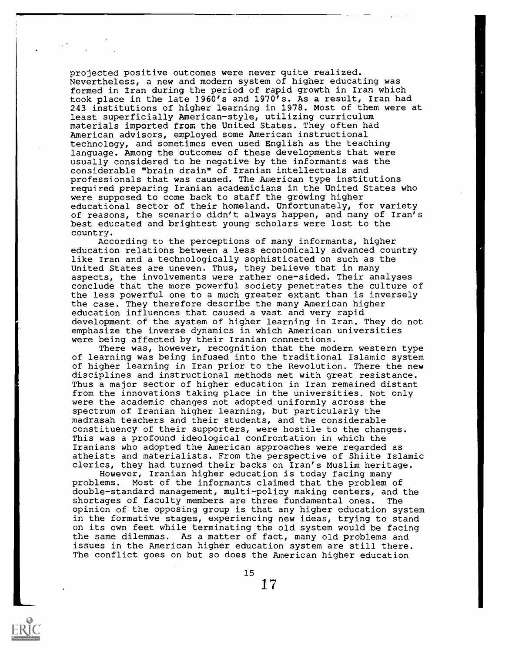projected positive outcomes were never quite realized. Nevertheless, a new and modern system of higher educating was formed in Iran during the period of rapid growth in Iran which took place in the late 1960's and 1970's. As a result, Iran had 243 institutions of higher learning in 1978. Most of them were at least superficially American-style, utilizing curriculum materials imported from the United States. They often had American advisors, employed some American instructional technology, and sometimes even used English as the teaching language. Among the outcomes of these developments that were usually considered to be negative by the informants was the considerable "brain drain" of Iranian intellectuals and professionals that was caused. The American type institutions required preparing Iranian academicians in the United States who were supposed to come back to staff the growing higher educational sector of their homeland. Unfortunately, for variety of reasons, the scenario didn't always happen, and many of Iran's best educated and brightest young scholars were lost to the country.

According to the perceptions of many informants, higher education relations between a less economically advanced country like Iran and a technologically sophisticated on such as the United States are uneven. Thus, they believe that in many aspects, the involvements were rather one-sided. Their analyses conclude that the more powerful society penetrates the culture of the less powerful one to a much greater extant than is inversely the case. They therefore describe the many American higher education influences that caused a vast and very rapid development of the system of higher learning in Iran. They do not emphasize the inverse dynamics in which American universities were being affected by their Iranian connections.

There was, however, recognition that the modern western type of learning was being infused into the traditional Islamic system of higher learning in Iran prior to the Revolution. There the new disciplines and instructional methods met with great resistance. Thus a major sector of higher education in Iran remained distant from the innovations taking place in the universities. Not only were the academic changes not adopted uniformly across the spectrum of Iranian higher learning, but particularly the madrasah teachers and their students, and the considerable constituency of their supporters, were hostile to the changes. This was a profound ideological confrontation in which the Iranians who adopted the American approaches were regarded as atheists and materialists. From the perspective of Shiite Islamic clerics, they had turned their backs on Iran's Muslim heritage.

However, Iranian higher education is today facing many problems. Most of the informants claimed that the problem of double-standard management, multi-policy making centers, and the shortages of faculty members are three fundamental ones. The opinion of the opposing group is that any higher education system in the formative stages, experiencing new ideas, trying to stand on its own feet while terminating the old system would be facing the same dilemmas. As a matter of fact, many old problems and issues in the American higher education system are still there. The conflict goes on but so does the American higher education

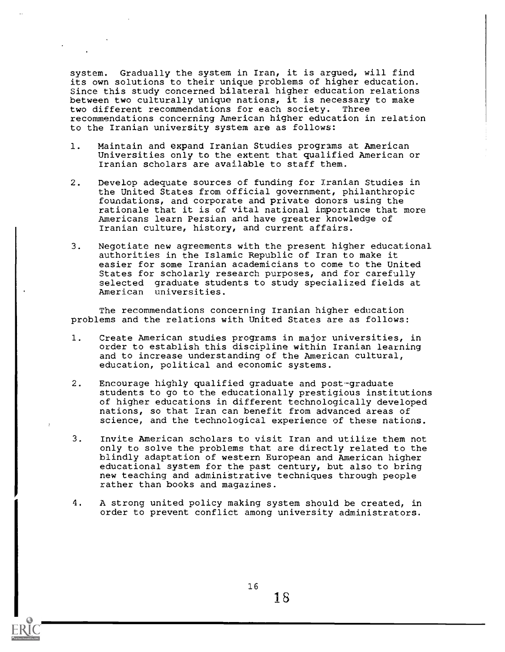system. Gradually the system in Iran, it is argued, will find its own solutions to their unique problems of higher education. Since this study concerned bilateral higher education relations between two culturally unique nations, it is necessary to make two different recommendations for each society. Three recommendations concerning American higher education in relation to the Iranian university system are as follows:

- 1. Maintain and expand Iranian Studies programs at American Universities only to the extent that qualified American or Iranian scholars are available to staff them.
- 2. Develop adequate sources of funding for Iranian Studies in the United States from official government, philanthropic foundations, and corporate and private donors using the rationale that it is of vital national importance that more Americans learn Persian and have greater knowledge of Iranian culture, history, and current affairs.
- 3. Negotiate new agreements with the present higher educational authorities in the Islamic Republic of Iran to make it easier for some Iranian academicians to come to the United States for scholarly research purposes, and for carefully selected graduate students to study specialized fields at American universities.

The recommendations concerning Iranian higher education problems and the relations with United States are as follows:

- 1. Create American studies programs in major universities, in order to establish this discipline within Iranian learning and to increase understanding of the American cultural, education, political and economic systems.
- 2. Encourage highly qualified graduate and post-graduate students to go to the educationally prestigious institutions of higher educations in different technologically developed nations, so that Iran can benefit from advanced areas of science, and the technological experience of these nations.
- 3. Invite American scholars to visit Iran and utilize them not only to solve the problems that are directly related to the blindly adaptation of western European and American higher educational system for the past century, but also to bring new teaching and administrative techniques through people rather than books and magazines.
- 4. A strong united policy making system should be created, in order to prevent conflict among university administrators.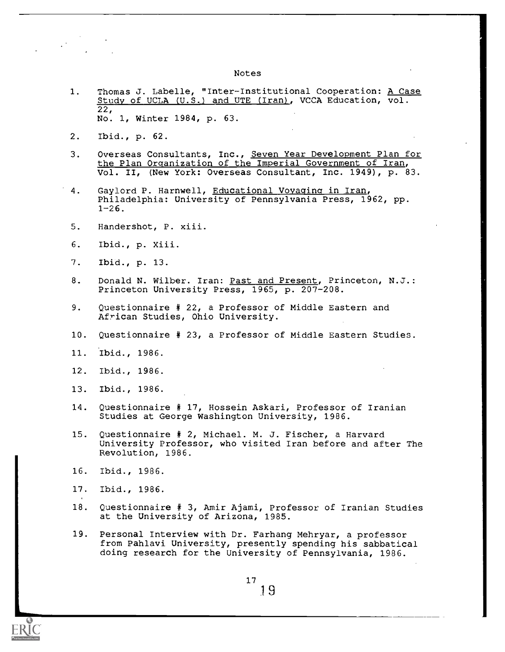#### Notes

- 1. Thomas J. Labelle, "Inter-Institutional Cooperation: <u>A Case</u> Study of UCLA U.S.) and UTE (Iran), VCCA Education, vol. 22, No. 1, Winter 1984, p. 63.
- 2. Ibid., p. 62.
- 3. Overseas Consultants, Inc., Seven Year Development Plan for the Plan Organization of the Imperial Government of Iran, Vol. II, (New York: Overseas Consultant, Inc. 1949), p. 83.
- 4. Gaylord P. Harnwell, Educational Voyaging in Iran, Philadelphia: University of Pennsylvania Press, 1962, pp.  $1 - 26$ .
- 5. Handershot, P. xiii.
- 6. Ibid., p. Xiii.
- 7. Ibid., p. 13.
- 8. Donald N. Wilber. Iran: Past and Present, Princeton, N.J.: Princeton University Press, 1965, p. 207-208.
- 9. Questionnaire # 22, a Professor of Middle Eastern and African Studies, Ohio University.
- 10. Questionnaire # 23, a Professor of Middle Eastern Studies.
- 11. Ibid., 1986.
- 12. Ibid., 1986.
- 13. Ibid., 1986.
- 14. Questionnaire # 17, Hossein Askari, Professor of Iranian Studies at George Washington University, 1986.
- 15 Questionnaire # 2, Michael. M. J. Fischer, a Harvard University Professor, who visited Iran before and after The Revolution, 1986.
- 16. Ibid., 1986.
- 17. Ibid., 1986.
- 18 Questionnaire # 3, Amir Ajami, Professor of Iranian Studies at the University of Arizona, 1985.
- 19. Personal Interview with Dr. Farhang Mehryar, a professor from Pahlavi University, presently spending his sabbatical doing research for the University of Pennsylvania, 1986.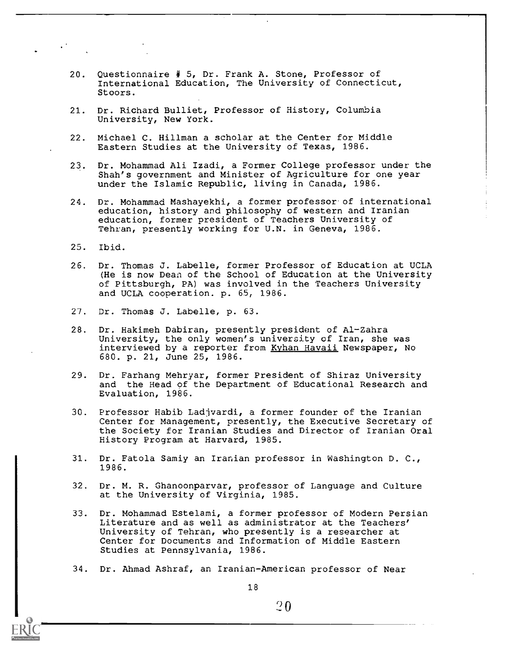- 20. Questionnaire # 5, Dr. Frank A. Stone, Professor of International Education, The University of Connecticut, Stoors.
- 21. Dr. Richard Bulliet, Professor of History, Columbia University, New York.
- 22. Michael C. Hillman a scholar at the Center for Middle Eastern Studies at the University of Texas, 1986.
- 23. Dr. Mohammad Ali Izadi, a Former College professor under the Shah's government and Minister of Agriculture for one year under the Islamic Republic, living in Canada, 1986.
- 24. Dr. Mohammad Mashayekhi, a former professor of international education, history and philosophy of western and Iranian education, former president of Teachers University of Tehran, presently working for U.N. in Geneva, 1986.
- 25. Ibid.
- 26. Dr. Thomas J. Labelle, former Professor of Education at UCLA (He is now Dean of the School of Education at the University of Pittsburgh, PA) was involved in the Teachers University and UCLA cooperation. p. 65, 1986.
- 27. Dr. Thomas J. Labelle, p. 63.
- 28. Dr. Hakimeh Dabiran, presently president of Al-Zahra University, the only women's university of Iran, she was interviewed by a reporter from Kyhan Havaii Newspaper, No 680. p. 21, June 25, 1986.
- 29. Dr. Farhang Mehryar, former President of Shiraz University and the Head of the Department of Educational Research and Evaluation, 1986.
- 30. Professor Habib Ladjvardi, a former founder of the Iranian Center for Management, presently, the Executive Secretary of the Society for Iranian Studies and Director of Iranian Oral History Program at Harvard, 1985.
- 31. Dr. Fatola Samiy an Iranian professor in Washington D. C., 1986.
- 32. Dr. M. R. Ghanoonparvar, professor of Language and Culture at the University of Virginia, 1985.
- 33. Dr. Mohammad Estelami, a former professor of Modern Persian Literature and as well as administrator at the Teachers' University of Tehran, who presently is a researcher at Center for Documents and Information of Middle Eastern Studies at Pennsylvania, 1986.
- 34. Dr. Ahmad Ashraf, an Iranian-American professor of Near